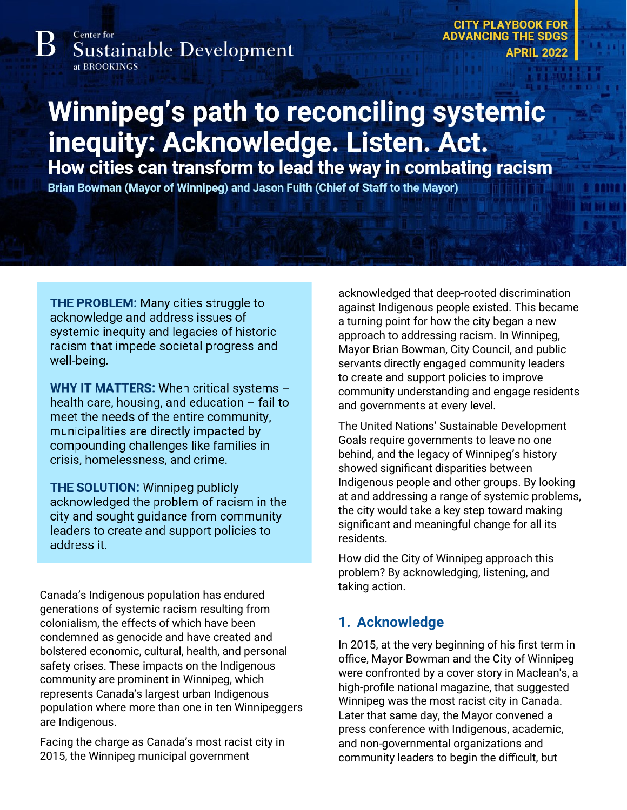Center for **Sustainable Development** 

at BROOKINGS

**CITY PLAYBOOK FOR ADVANCING THE SDGS APRIL 2022** 

# **Winnipeg's path to reconciling systemic** inequity: Acknowledge. Listen. Act.

How cities can transform to lead the way in combating racism

Brian Bowman (Mayor of Winnipeg) and Jason Fuith (Chief of Staff to the Mayor)

**THE PROBLEM:** Many cities struggle to acknowledge and address issues of systemic inequity and legacies of historic racism that impede societal progress and well-being.

WHY IT MATTERS: When critical systems health care, housing, and education - fail to meet the needs of the entire community, municipalities are directly impacted by compounding challenges like families in crisis, homelessness, and crime.

**THE SOLUTION: Winnipeg publicly** acknowledged the problem of racism in the city and sought guidance from community leaders to create and support policies to address it.

Canada's Indigenous population has endured generations of systemic racism resulting from colonialism, the effects of which have been condemned as genocide and have created and bolstered economic, cultural, health, and personal safety crises. These impacts on the Indigenous community are prominent in Winnipeg, which represents Canada's largest urban Indigenous population where more than one in ten Winnipeggers are Indigenous.

Facing the charge as Canada's most racist city in 2015, the Winnipeg municipal government

acknowledged that deep-rooted discrimination against Indigenous people existed. This became a turning point for how the city began a new approach to addressing racism. In Winnipeg, Mayor Brian Bowman, City Council, and public servants directly engaged community leaders to create and support policies to improve community understanding and engage residents and governments at every level.

The United Nations' Sustainable Development Goals require governments to leave no one behind, and the legacy of Winnipeg's history showed significant disparities between Indigenous people and other groups. By looking at and addressing a range of systemic problems, the city would take a key step toward making significant and meaningful change for all its residents.

How did the City of Winnipeg approach this problem? By acknowledging, listening, and taking action.

### **1. Acknowledge**

In 2015, at the very beginning of his first term in office, Mayor Bowman and the City of Winnipeg were confronted by a cover story in Maclean's, a high-profile national magazine, that suggested Winnipeg was the most racist city in Canada. Later that same day, the Mayor convened a press conference with Indigenous, academic, and non-governmental organizations and community leaders to begin the difficult, but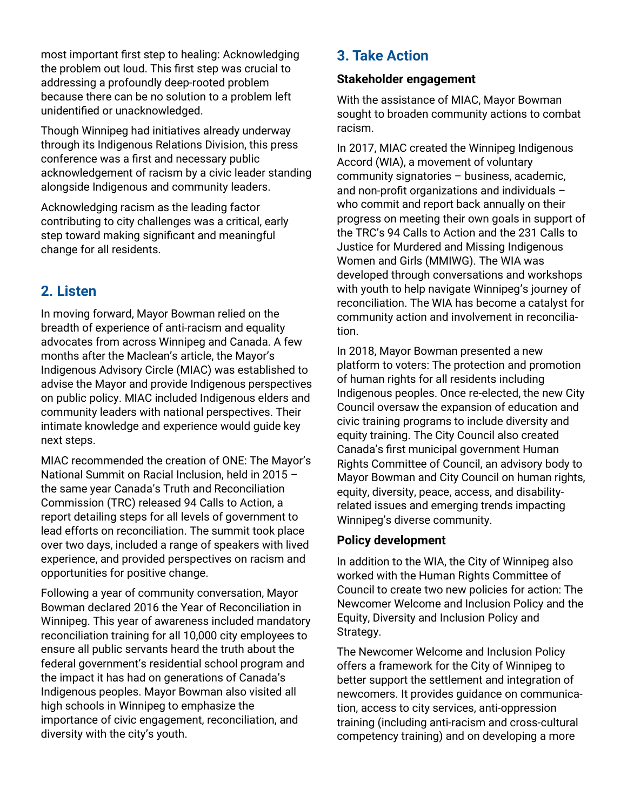most important first step to healing: Acknowledging the problem out loud. This first step was crucial to addressing a profoundly deep-rooted problem because there can be no solution to a problem left unidentified or unacknowledged.

Though Winnipeg had initiatives already underway through its Indigenous Relations Division, this press conference was a first and necessary public acknowledgement of racism by a civic leader standing alongside Indigenous and community leaders.

Acknowledging racism as the leading factor contributing to city challenges was a critical, early step toward making significant and meaningful change for all residents.

## **2. Listen**

In moving forward, Mayor Bowman relied on the breadth of experience of anti-racism and equality advocates from across Winnipeg and Canada. A few months after the Maclean's article, the Mayor's Indigenous Advisory Circle (MIAC) was established to advise the Mayor and provide Indigenous perspectives on public policy. MIAC included Indigenous elders and community leaders with national perspectives. Their intimate knowledge and experience would guide key next steps.

MIAC recommended the creation of ONE: The Mayor's National Summit on Racial Inclusion, held in 2015 – the same year Canada's Truth and Reconciliation Commission (TRC) released 94 Calls to Action, a report detailing steps for all levels of government to lead efforts on reconciliation. The summit took place over two days, included a range of speakers with lived experience, and provided perspectives on racism and opportunities for positive change.

Following a year of community conversation, Mayor Bowman declared 2016 the Year of Reconciliation in Winnipeg. This year of awareness included mandatory reconciliation training for all 10,000 city employees to ensure all public servants heard the truth about the federal government's residential school program and the impact it has had on generations of Canada's Indigenous peoples. Mayor Bowman also visited all high schools in Winnipeg to emphasize the importance of civic engagement, reconciliation, and diversity with the city's youth.

## **3. Take Action**

#### **Stakeholder engagement**

With the assistance of MIAC, Mayor Bowman sought to broaden community actions to combat racism.

In 2017, MIAC created the Winnipeg Indigenous Accord (WIA), a movement of voluntary community signatories – business, academic, and non-profit organizations and individuals – who commit and report back annually on their progress on meeting their own goals in support of the TRC's 94 Calls to Action and the 231 Calls to Justice for Murdered and Missing Indigenous Women and Girls (MMIWG). The WIA was developed through conversations and workshops with youth to help navigate Winnipeg's journey of reconciliation. The WIA has become a catalyst for community action and involvement in reconciliation.

In 2018, Mayor Bowman presented a new platform to voters: The protection and promotion of human rights for all residents including Indigenous peoples. Once re-elected, the new City Council oversaw the expansion of education and civic training programs to include diversity and equity training. The City Council also created Canada's first municipal government Human Rights Committee of Council, an advisory body to Mayor Bowman and City Council on human rights, equity, diversity, peace, access, and disabilityrelated issues and emerging trends impacting Winnipeg's diverse community.

#### **Policy development**

In addition to the WIA, the City of Winnipeg also worked with the Human Rights Committee of Council to create two new policies for action: The Newcomer Welcome and Inclusion Policy and the Equity, Diversity and Inclusion Policy and Strategy.

The Newcomer Welcome and Inclusion Policy offers a framework for the City of Winnipeg to better support the settlement and integration of newcomers. It provides guidance on communication, access to city services, anti-oppression training (including anti-racism and cross-cultural competency training) and on developing a more